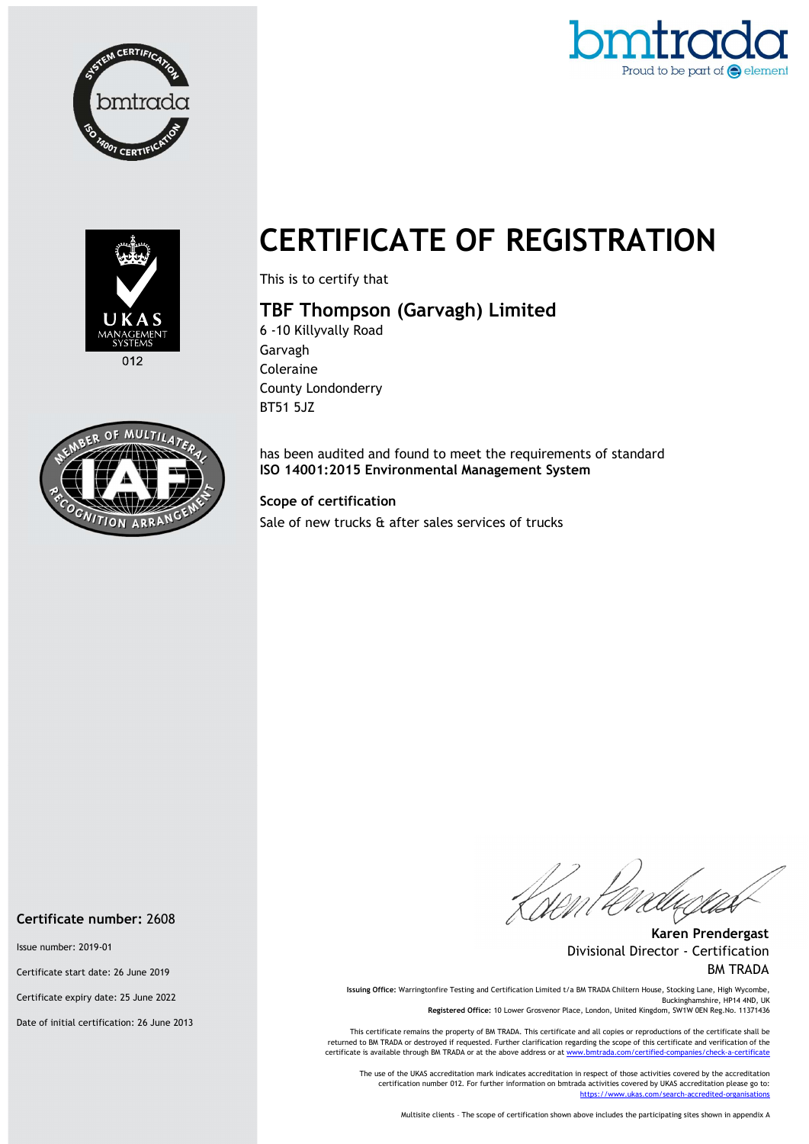





 $012$ 



# CERTIFICATE OF REGISTRATION

This is to certify that

## TBF Thompson (Garvagh) Limited

6 -10 Killyvally Road Garvagh Coleraine County Londonderry BT51 5JZ

has been audited and found to meet the requirements of standard ISO 14001:2015 Environmental Management System

#### Scope of certification

Sale of new trucks & after sales services of trucks

Karen Prendergast Divisional Director - Certification BM TRADA

Issuing Office: Warringtonfire Testing and Certification Limited t/a BM TRADA Chiltern House, Stocking Lane, High Wycombe, Buckinghamshire, HP14 4ND, UK Registered Office: 10 Lower Grosvenor Place, London, United Kingdom, SW1W 0EN Reg.No. 11371436

This certificate remains the property of BM TRADA. This certificate and all copies or reproductions of the certificate shall be returned to BM TRADA or destroyed if requested. Further clarification regarding the scope of this certificate and verification of the certificate is available through BM TRADA or at the above address or at www.

The use of the UKAS accreditation mark indicates accreditation in respect of those activities covered by the accreditation certification number 012. For further information on bmtrada activities covered by UKAS accreditation please go to: https://www.ukas.com/search-accredited-organis

Multisite clients – The scope of certification shown above includes the participating sites shown in appendix A

#### Certificate number: 2608

Issue number: 2019-01

Certificate start date: 26 June 2019

Certificate expiry date: 25 June 2022

Date of initial certification: 26 June 2013